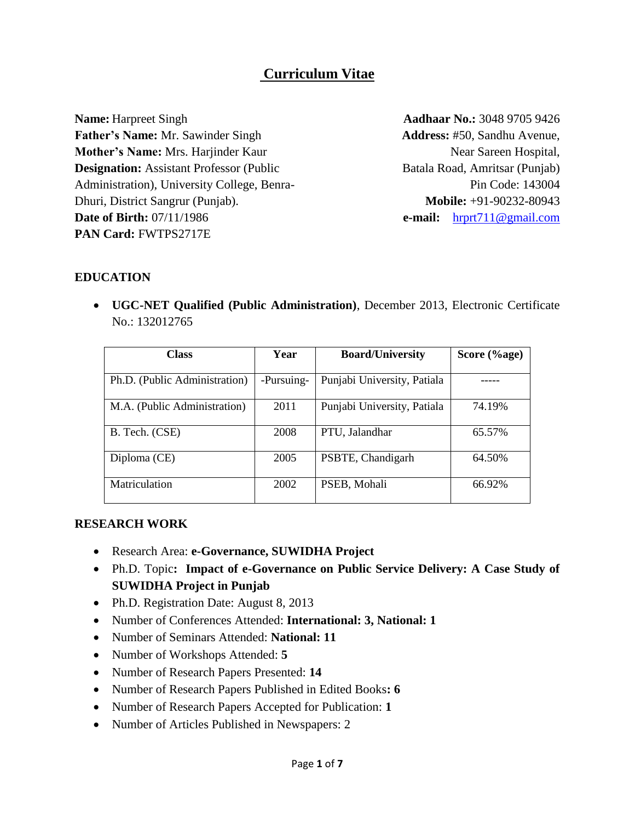# **Curriculum Vitae**

**Name:** Harpreet Singh **Father's Name:** Mr. Sawinder Singh **Mother's Name:** Mrs. Harjinder Kaur **Designation:** Assistant Professor (Public Administration), University College, Benra-Dhuri, District Sangrur (Punjab). **Date of Birth:** 07/11/1986 **PAN Card:** FWTPS2717E

**Aadhaar No.:** 3048 9705 9426 **Address:** #50, Sandhu Avenue, Near Sareen Hospital, Batala Road, Amritsar (Punjab) Pin Code: 143004 **Mobile:** +91-90232-80943 **e-mail:** [hrprt711@gmail.com](mailto:hrprt711@gmail.com)

#### **EDUCATION**

 **UGC-NET Qualified (Public Administration)**, December 2013, Electronic Certificate No.: 132012765

| <b>Class</b>                  | Year       | <b>Board/University</b>     | Score (%age) |
|-------------------------------|------------|-----------------------------|--------------|
| Ph.D. (Public Administration) | -Pursuing- | Punjabi University, Patiala |              |
| M.A. (Public Administration)  | 2011       | Punjabi University, Patiala | 74.19%       |
| B. Tech. (CSE)                | 2008       | PTU, Jalandhar              | 65.57%       |
| Diploma (CE)                  | 2005       | PSBTE, Chandigarh           | 64.50%       |
| Matriculation                 | 2002       | PSEB, Mohali                | 66.92%       |

#### **RESEARCH WORK**

- Research Area: **e-Governance, SUWIDHA Project**
- Ph.D. Topic**: Impact of e-Governance on Public Service Delivery: A Case Study of SUWIDHA Project in Punjab**
- Ph.D. Registration Date: August 8, 2013
- Number of Conferences Attended: **International: 3, National: 1**
- Number of Seminars Attended: **National: 11**
- Number of Workshops Attended: **5**
- Number of Research Papers Presented: **14**
- Number of Research Papers Published in Edited Books**: 6**
- Number of Research Papers Accepted for Publication: **1**
- Number of Articles Published in Newspapers: 2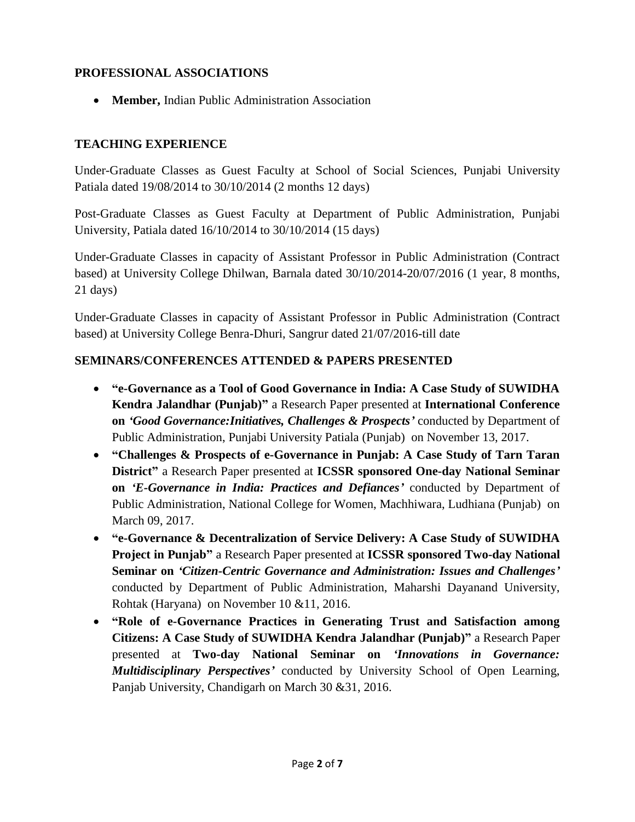## **PROFESSIONAL ASSOCIATIONS**

**Member,** Indian Public Administration Association

## **TEACHING EXPERIENCE**

Under-Graduate Classes as Guest Faculty at School of Social Sciences, Punjabi University Patiala dated 19/08/2014 to 30/10/2014 (2 months 12 days)

Post-Graduate Classes as Guest Faculty at Department of Public Administration, Punjabi University, Patiala dated 16/10/2014 to 30/10/2014 (15 days)

Under-Graduate Classes in capacity of Assistant Professor in Public Administration (Contract based) at University College Dhilwan, Barnala dated 30/10/2014-20/07/2016 (1 year, 8 months, 21 days)

Under-Graduate Classes in capacity of Assistant Professor in Public Administration (Contract based) at University College Benra-Dhuri, Sangrur dated 21/07/2016-till date

#### **SEMINARS/CONFERENCES ATTENDED & PAPERS PRESENTED**

- **"e-Governance as a Tool of Good Governance in India: A Case Study of SUWIDHA Kendra Jalandhar (Punjab)"** a Research Paper presented at **International Conference on** *'Good Governance:Initiatives, Challenges & Prospects'* conducted by Department of Public Administration, Punjabi University Patiala (Punjab) on November 13, 2017.
- **"Challenges & Prospects of e-Governance in Punjab: A Case Study of Tarn Taran District"** a Research Paper presented at **ICSSR sponsored One-day National Seminar on** *'E-Governance in India: Practices and Defiances'* conducted by Department of Public Administration, National College for Women, Machhiwara, Ludhiana (Punjab) on March 09, 2017.
- **"e-Governance & Decentralization of Service Delivery: A Case Study of SUWIDHA Project in Punjab"** a Research Paper presented at **ICSSR sponsored Two-day National Seminar on** *'Citizen-Centric Governance and Administration: Issues and Challenges'* conducted by Department of Public Administration, Maharshi Dayanand University, Rohtak (Haryana) on November 10 &11, 2016.
- **"Role of e-Governance Practices in Generating Trust and Satisfaction among Citizens: A Case Study of SUWIDHA Kendra Jalandhar (Punjab)"** a Research Paper presented at **Two-day National Seminar on** *'Innovations in Governance: Multidisciplinary Perspectives'* conducted by University School of Open Learning, Panjab University, Chandigarh on March 30 &31, 2016.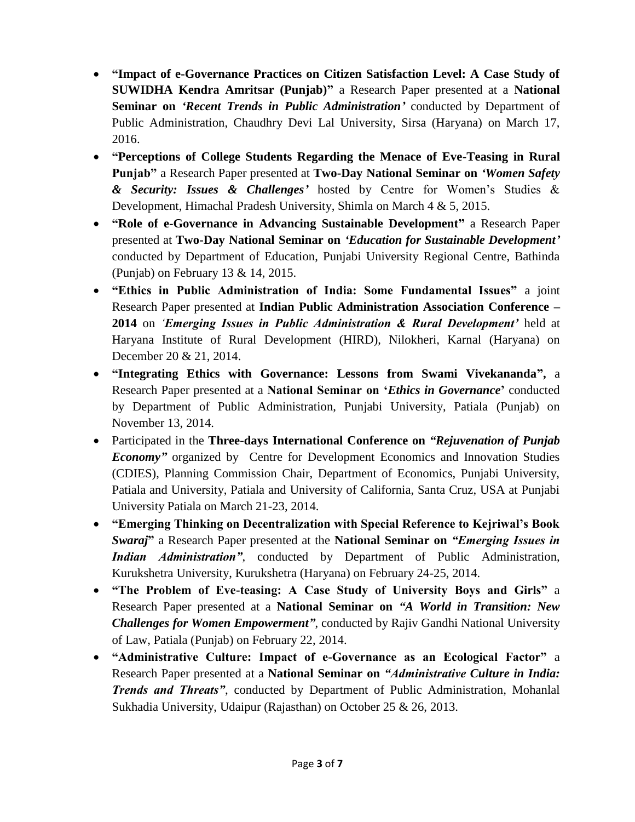- **"Impact of e-Governance Practices on Citizen Satisfaction Level: A Case Study of SUWIDHA Kendra Amritsar (Punjab)"** a Research Paper presented at a **National Seminar on** *'Recent Trends in Public Administration'* conducted by Department of Public Administration, Chaudhry Devi Lal University, Sirsa (Haryana) on March 17, 2016.
- **"Perceptions of College Students Regarding the Menace of Eve-Teasing in Rural Punjab"** a Research Paper presented at **Two-Day National Seminar on** *'Women Safety & Security: Issues & Challenges'* hosted by Centre for Women's Studies & Development, Himachal Pradesh University, Shimla on March 4 & 5, 2015.
- **"Role of e-Governance in Advancing Sustainable Development"** a Research Paper presented at **Two-Day National Seminar on** *'Education for Sustainable Development'* conducted by Department of Education, Punjabi University Regional Centre, Bathinda (Punjab) on February 13 & 14, 2015.
- **"Ethics in Public Administration of India: Some Fundamental Issues"** a joint Research Paper presented at **Indian Public Administration Association Conference – 2014** on *'Emerging Issues in Public Administration & Rural Development'* held at Haryana Institute of Rural Development (HIRD), Nilokheri, Karnal (Haryana) on December 20 & 21, 2014.
- **"Integrating Ethics with Governance: Lessons from Swami Vivekananda",** a Research Paper presented at a **National Seminar on '***Ethics in Governance***'** conducted by Department of Public Administration, Punjabi University, Patiala (Punjab) on November 13, 2014.
- Participated in the **Three-days International Conference on** *"Rejuvenation of Punjab Economy"* organized by Centre for Development Economics and Innovation Studies (CDIES), Planning Commission Chair, Department of Economics, Punjabi University, Patiala and University, Patiala and University of California, Santa Cruz, USA at Punjabi University Patiala on March 21-23, 2014.
- **"Emerging Thinking on Decentralization with Special Reference to Kejriwal's Book**  *Swaraj***"** a Research Paper presented at the **National Seminar on** *"Emerging Issues in Indian Administration"*, conducted by Department of Public Administration, Kurukshetra University, Kurukshetra (Haryana) on February 24-25, 2014.
- **"The Problem of Eve-teasing: A Case Study of University Boys and Girls"** a Research Paper presented at a **National Seminar on** *"A World in Transition: New Challenges for Women Empowerment"*, conducted by Rajiv Gandhi National University of Law, Patiala (Punjab) on February 22, 2014.
- **"Administrative Culture: Impact of e-Governance as an Ecological Factor"** a Research Paper presented at a **National Seminar on** *"Administrative Culture in India: Trends and Threats"*, conducted by Department of Public Administration, Mohanlal Sukhadia University, Udaipur (Rajasthan) on October 25 & 26, 2013.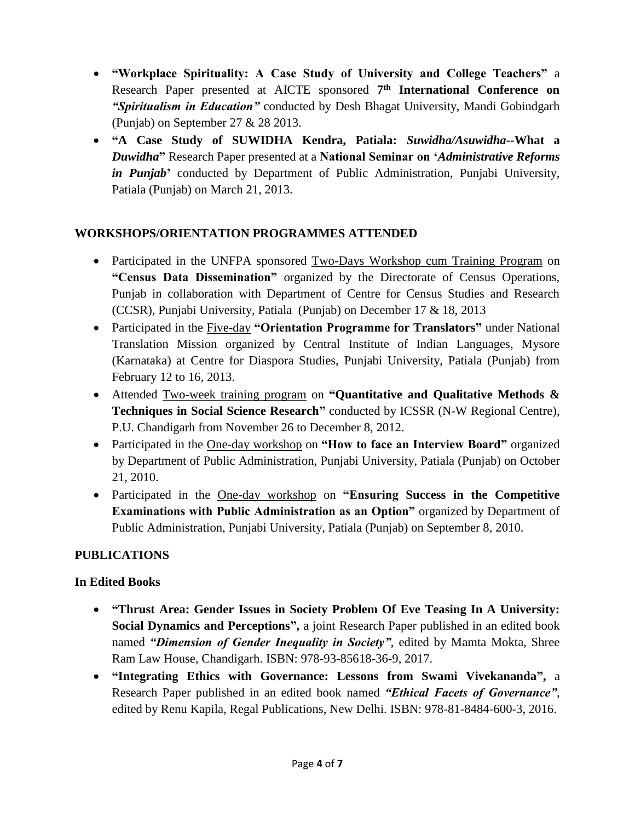- **"Workplace Spirituality: A Case Study of University and College Teachers"** a Research Paper presented at AICTE sponsored **7 th International Conference on**  *"Spiritualism in Education"* conducted by Desh Bhagat University, Mandi Gobindgarh (Punjab) on September 27 & 28 2013.
- **"A Case Study of SUWIDHA Kendra, Patiala:** *Suwidha/Asuwidha--***What a** *Duwidha***"** Research Paper presented at a **National Seminar on '***Administrative Reforms in Punjab***'** conducted by Department of Public Administration, Punjabi University, Patiala (Punjab) on March 21, 2013.

## **WORKSHOPS/ORIENTATION PROGRAMMES ATTENDED**

- Participated in the UNFPA sponsored Two-Days Workshop cum Training Program on **"Census Data Dissemination"** organized by the Directorate of Census Operations, Punjab in collaboration with Department of Centre for Census Studies and Research (CCSR), Punjabi University, Patiala (Punjab) on December 17 & 18, 2013
- Participated in the Five-day **"Orientation Programme for Translators"** under National Translation Mission organized by Central Institute of Indian Languages, Mysore (Karnataka) at Centre for Diaspora Studies, Punjabi University, Patiala (Punjab) from February 12 to 16, 2013.
- Attended Two-week training program on **"Quantitative and Qualitative Methods & Techniques in Social Science Research"** conducted by ICSSR (N-W Regional Centre), P.U. Chandigarh from November 26 to December 8, 2012.
- Participated in the One-day workshop on **"How to face an Interview Board"** organized by Department of Public Administration, Punjabi University, Patiala (Punjab) on October 21, 2010.
- Participated in the One-day workshop on **"Ensuring Success in the Competitive Examinations with Public Administration as an Option"** organized by Department of Public Administration, Punjabi University, Patiala (Punjab) on September 8, 2010.

## **PUBLICATIONS**

## **In Edited Books**

- **"Thrust Area: Gender Issues in Society Problem Of Eve Teasing In A University: Social Dynamics and Perceptions",** a joint Research Paper published in an edited book named *"Dimension of Gender Inequality in Society"*, edited by Mamta Mokta, Shree Ram Law House, Chandigarh. ISBN: 978-93-85618-36-9, 2017.
- **"Integrating Ethics with Governance: Lessons from Swami Vivekananda",** a Research Paper published in an edited book named *"Ethical Facets of Governance"*, edited by Renu Kapila, Regal Publications, New Delhi. ISBN: 978-81-8484-600-3, 2016.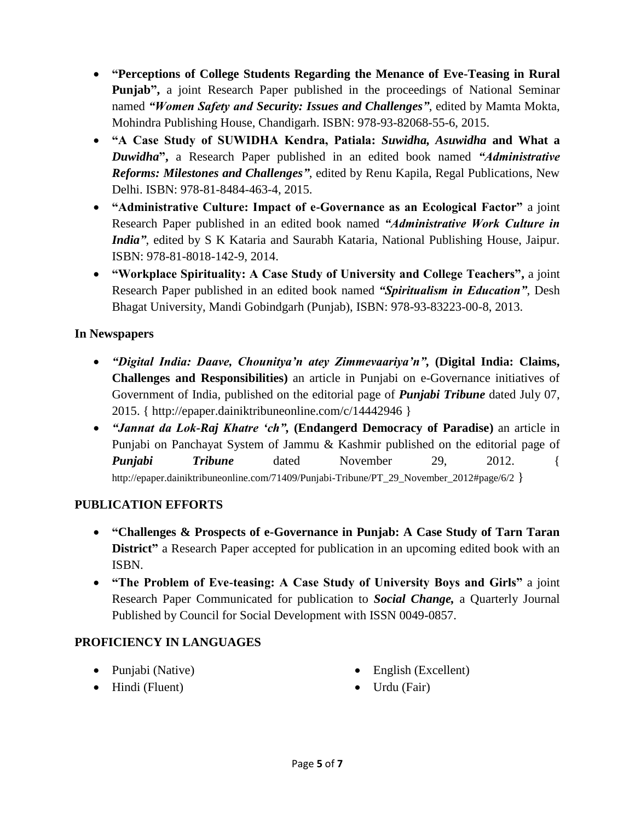- **"Perceptions of College Students Regarding the Menance of Eve-Teasing in Rural Punjab",** a joint Research Paper published in the proceedings of National Seminar named *"Women Safety and Security: Issues and Challenges"*, edited by Mamta Mokta, Mohindra Publishing House, Chandigarh. ISBN: 978-93-82068-55-6, 2015.
- **"A Case Study of SUWIDHA Kendra, Patiala:** *Suwidha, Asuwidha* **and What a** *Duwidha***",** a Research Paper published in an edited book named *"Administrative Reforms: Milestones and Challenges"*, edited by Renu Kapila, Regal Publications, New Delhi. ISBN: 978-81-8484-463-4, 2015.
- **"Administrative Culture: Impact of e-Governance as an Ecological Factor"** a joint Research Paper published in an edited book named *"Administrative Work Culture in India"*, edited by S K Kataria and Saurabh Kataria, National Publishing House, Jaipur. ISBN: 978-81-8018-142-9, 2014.
- **"Workplace Spirituality: A Case Study of University and College Teachers",** a joint Research Paper published in an edited book named *"Spiritualism in Education"*, Desh Bhagat University, Mandi Gobindgarh (Punjab), ISBN: 978-93-83223-00-8, 2013.

## **In Newspapers**

- *"Digital India: Daave, Chounitya'n atey Zimmevaariya'n",* **(Digital India: Claims, Challenges and Responsibilities)** an article in Punjabi on e-Governance initiatives of Government of India, published on the editorial page of *Punjabi Tribune* dated July 07, 2015. { http://epaper.dainiktribuneonline.com/c/14442946 }
- *"Jannat da Lok-Raj Khatre 'ch",* **(Endangerd Democracy of Paradise)** an article in Punjabi on Panchayat System of Jammu & Kashmir published on the editorial page of *Punjabi Tribune* dated November 29, 2012. { http://epaper.dainiktribuneonline.com/71409/Punjabi-Tribune/PT\_29\_November\_2012#page/6/2 }

#### **PUBLICATION EFFORTS**

- **"Challenges & Prospects of e-Governance in Punjab: A Case Study of Tarn Taran District**" a Research Paper accepted for publication in an upcoming edited book with an ISBN.
- **"The Problem of Eve-teasing: A Case Study of University Boys and Girls"** a joint Research Paper Communicated for publication to *Social Change,* a Quarterly Journal Published by Council for Social Development with ISSN 0049-0857.

#### **PROFICIENCY IN LANGUAGES**

- $\bullet$  Punjabi (Native)
- Hindi (Fluent)
- English (Excellent)
- Urdu (Fair)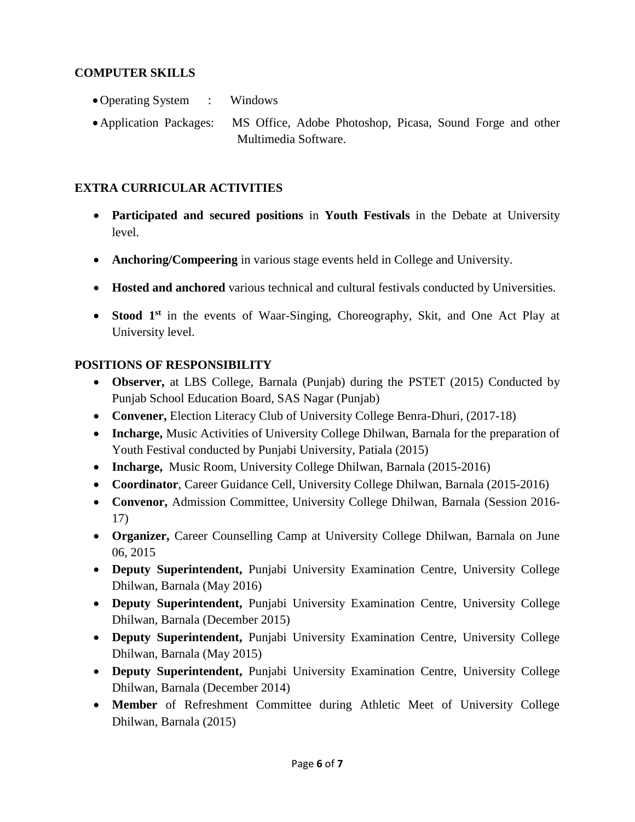#### **COMPUTER SKILLS**

- Operating System : Windows
- Application Packages: MS Office, Adobe Photoshop, Picasa, Sound Forge and other Multimedia Software.

## **EXTRA CURRICULAR ACTIVITIES**

- **Participated and secured positions** in **Youth Festivals** in the Debate at University level.
- **Anchoring/Compeering** in various stage events held in College and University.
- **Hosted and anchored** various technical and cultural festivals conducted by Universities.
- **Stood 1<sup>st</sup>** in the events of Waar-Singing, Choreography, Skit, and One Act Play at University level.

#### **POSITIONS OF RESPONSIBILITY**

- **Observer,** at LBS College, Barnala (Punjab) during the PSTET (2015) Conducted by Punjab School Education Board, SAS Nagar (Punjab)
- Convener, Election Literacy Club of University College Benra-Dhuri, (2017-18)
- **Incharge,** Music Activities of University College Dhilwan, Barnala for the preparation of Youth Festival conducted by Punjabi University, Patiala (2015)
- **Incharge,** Music Room, University College Dhilwan, Barnala (2015-2016)
- **Coordinator**, Career Guidance Cell, University College Dhilwan, Barnala (2015-2016)
- **Convenor,** Admission Committee, University College Dhilwan, Barnala (Session 2016- 17)
- **Organizer,** Career Counselling Camp at University College Dhilwan, Barnala on June 06, 2015
- **Deputy Superintendent,** Punjabi University Examination Centre, University College Dhilwan, Barnala (May 2016)
- **Deputy Superintendent,** Punjabi University Examination Centre, University College Dhilwan, Barnala (December 2015)
- **Deputy Superintendent,** Punjabi University Examination Centre, University College Dhilwan, Barnala (May 2015)
- **Deputy Superintendent,** Punjabi University Examination Centre, University College Dhilwan, Barnala (December 2014)
- **Member** of Refreshment Committee during Athletic Meet of University College Dhilwan, Barnala (2015)